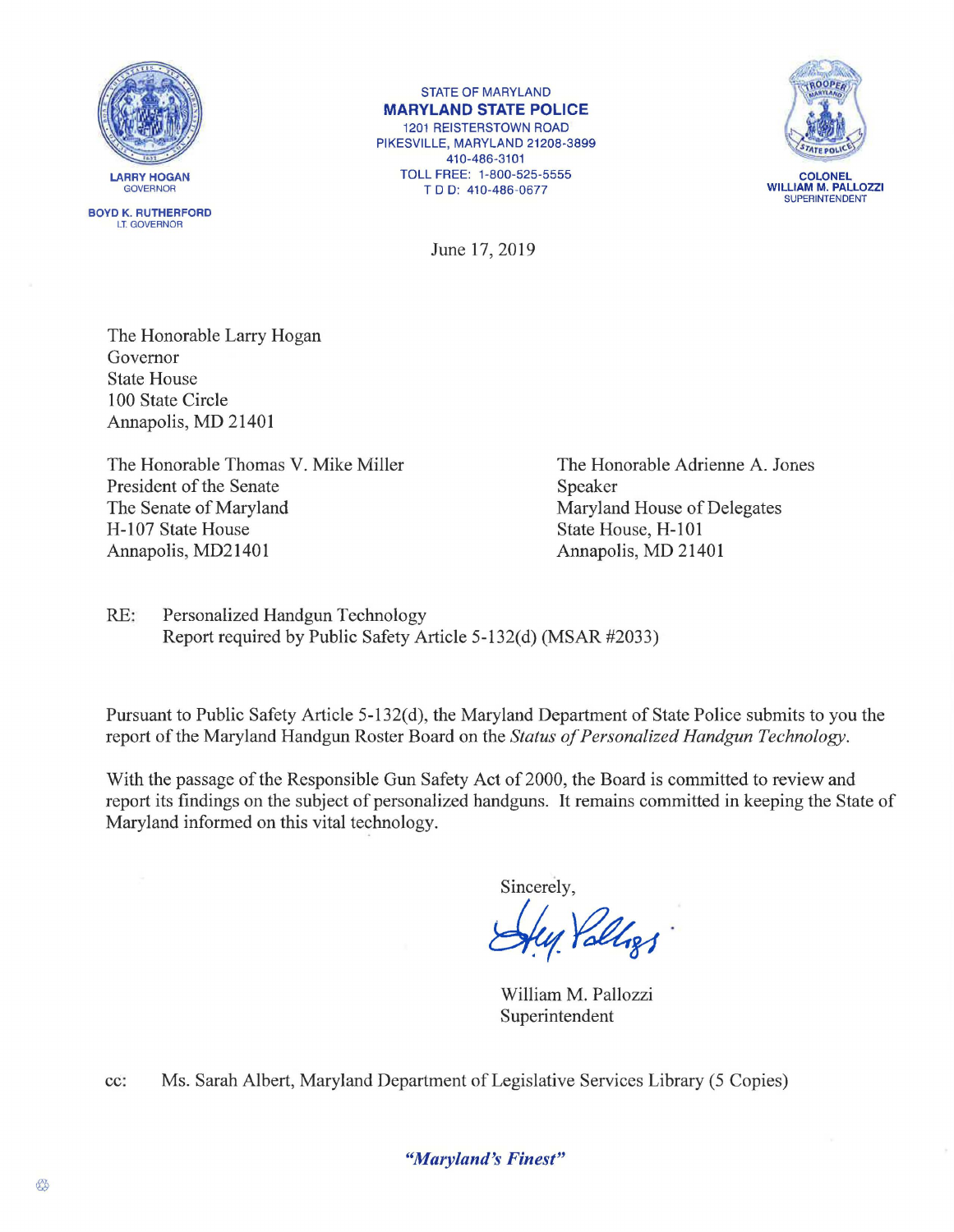



STATE OF MARYLAND **MARYLAND STATE POLICE**  1201 REISTERSTOWN ROAD PIKESVILLE, MARYLAND 21208-3899 410-486-3101 TOLL FREE: 1-800-525-5555

TDD: 410-486-0677



**COLONEL WILLIAM M. PALLOZZI**  SUPERINTENDENT

June 17, 2019

The Honorable Larry Hogan Governor State House 100 State Circle Annapolis, MD 21401

The Honorable Thomas V. Mike Miller President of the Senate The Senate of Maryland H-107 State House Annapolis, MD21401

The Honorable Adrienne A. Jones Speaker Maryland House of Delegates State House, H-101 Annapolis, MD 21401

RE: Personalized Handgun Technology Report required by Public Safety Article 5-132(d) (MSAR #2033)

Pursuant to Public Safety Article 5-132(d), the Maryland Department of State Police submits to you the report of the Maryland Handgun Roster Board on the *Status of Personalized Handgun Technology.* 

With the passage of the Responsible Gun Safety Act of 2000, the Board is committed to review and report its findings on the subject of personalized handguns. It remains committed in keeping the State of Maryland informed on this vital technology.

Sincerely,

sincerely,<br>Hug *Yolligs* 

William M. Pallozzi Superintendent

cc: Ms. Sarah Albert, Maryland Department of Legislative Services Library (5 Copies)